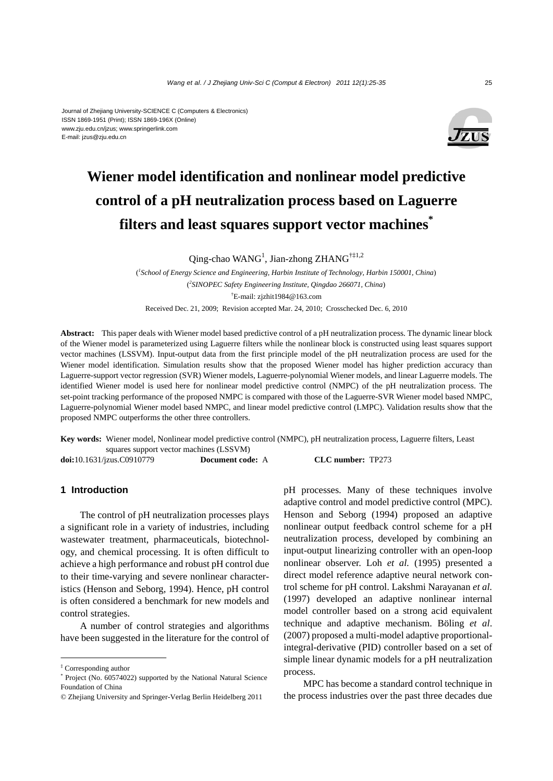#### Journal of Zhejiang University-SCIENCE C (Computers & Electronics) ISSN 1869-1951 (Print); ISSN 1869-196X (Online) www.zju.edu.cn/jzus; www.springerlink.com E-mail: jzus@zju.edu.cn



# **Wiener model identification and nonlinear model predictive control of a pH neutralization process based on Laguerre filters and least squares support vector machines\***

Qing-chao WANG<sup>1</sup>, Jian-zhong ZHANG<sup>†‡1,2</sup>

( *1 School of Energy Science and Engineering, Harbin Institute of Technology, Harbin 150001, China*) ( *2 SINOPEC Safety Engineering Institute, Qingdao 266071, China*) † E-mail: zjzhit1984@163.com

Received Dec. 21, 2009; Revision accepted Mar. 24, 2010; Crosschecked Dec. 6, 2010

**Abstract:** This paper deals with Wiener model based predictive control of a pH neutralization process. The dynamic linear block of the Wiener model is parameterized using Laguerre filters while the nonlinear block is constructed using least squares support vector machines (LSSVM). Input-output data from the first principle model of the pH neutralization process are used for the Wiener model identification. Simulation results show that the proposed Wiener model has higher prediction accuracy than Laguerre-support vector regression (SVR) Wiener models, Laguerre-polynomial Wiener models, and linear Laguerre models. The identified Wiener model is used here for nonlinear model predictive control (NMPC) of the pH neutralization process. The set-point tracking performance of the proposed NMPC is compared with those of the Laguerre-SVR Wiener model based NMPC, Laguerre-polynomial Wiener model based NMPC, and linear model predictive control (LMPC). Validation results show that the proposed NMPC outperforms the other three controllers.

**Key words:** Wiener model, Nonlinear model predictive control (NMPC), pH neutralization process, Laguerre filters, Least squares support vector machines (LSSVM) **doi:**10.1631/jzus.C0910779 **Document code:** A **CLC number:** TP273

#### **1 Introduction**

The control of pH neutralization processes plays a significant role in a variety of industries, including wastewater treatment, pharmaceuticals, biotechnology, and chemical processing. It is often difficult to achieve a high performance and robust pH control due to their time-varying and severe nonlinear characteristics (Henson and Seborg, 1994). Hence, pH control is often considered a benchmark for new models and control strategies.

A number of control strategies and algorithms have been suggested in the literature for the control of pH processes. Many of these techniques involve adaptive control and model predictive control (MPC). Henson and Seborg (1994) proposed an adaptive nonlinear output feedback control scheme for a pH neutralization process, developed by combining an input-output linearizing controller with an open-loop nonlinear observer. Loh *et al.* (1995) presented a direct model reference adaptive neural network control scheme for pH control. Lakshmi Narayanan *et al.* (1997) developed an adaptive nonlinear internal model controller based on a strong acid equivalent technique and adaptive mechanism. Böling *et al*. (2007) proposed a multi-model adaptive proportionalintegral-derivative (PID) controller based on a set of simple linear dynamic models for a pH neutralization process.

MPC has become a standard control technique in the process industries over the past three decades due

<sup>‡</sup> Corresponding author

<sup>\*</sup> Project (No. 60574022) supported by the National Natural Science Foundation of China

<sup>©</sup> Zhejiang University and Springer-Verlag Berlin Heidelberg 2011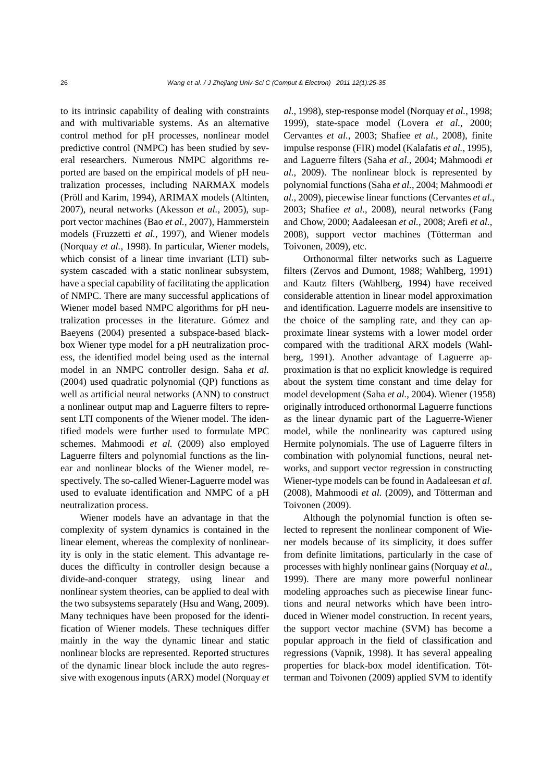to its intrinsic capability of dealing with constraints and with multivariable systems. As an alternative control method for pH processes, nonlinear model predictive control (NMPC) has been studied by several researchers. Numerous NMPC algorithms reported are based on the empirical models of pH neutralization processes, including NARMAX models (Pröll and Karim, 1994), ARIMAX models (Altinten, 2007), neural networks (Akesson *et al.*, 2005), support vector machines (Bao *et al.*, 2007), Hammerstein models (Fruzzetti *et al.*, 1997), and Wiener models (Norquay *et al.*, 1998). In particular, Wiener models, which consist of a linear time invariant (LTI) subsystem cascaded with a static nonlinear subsystem, have a special capability of facilitating the application of NMPC. There are many successful applications of Wiener model based NMPC algorithms for pH neutralization processes in the literature. Gómez and Baeyens (2004) presented a subspace-based blackbox Wiener type model for a pH neutralization process, the identified model being used as the internal model in an NMPC controller design. Saha *et al.* (2004) used quadratic polynomial (QP) functions as well as artificial neural networks (ANN) to construct a nonlinear output map and Laguerre filters to represent LTI components of the Wiener model. The identified models were further used to formulate MPC schemes. Mahmoodi *et al.* (2009) also employed Laguerre filters and polynomial functions as the linear and nonlinear blocks of the Wiener model, respectively. The so-called Wiener-Laguerre model was used to evaluate identification and NMPC of a pH neutralization process.

Wiener models have an advantage in that the complexity of system dynamics is contained in the linear element, whereas the complexity of nonlinearity is only in the static element. This advantage reduces the difficulty in controller design because a divide-and-conquer strategy, using linear and nonlinear system theories, can be applied to deal with the two subsystems separately (Hsu and Wang, 2009). Many techniques have been proposed for the identification of Wiener models. These techniques differ mainly in the way the dynamic linear and static nonlinear blocks are represented. Reported structures of the dynamic linear block include the auto regressive with exogenous inputs (ARX) model (Norquay *et* 

*al.*, 1998), step-response model (Norquay *et al.*, 1998; 1999), state-space model (Lovera *et al.*, 2000; Cervantes *et al.*, 2003; Shafiee *et al.*, 2008), finite impulse response (FIR) model (Kalafatis *et al.*, 1995), and Laguerre filters (Saha *et al.*, 2004; Mahmoodi *et al.*, 2009). The nonlinear block is represented by polynomial functions (Saha *et al.*, 2004; Mahmoodi *et al.*, 2009), piecewise linear functions (Cervantes *et al.*, 2003; Shafiee *et al.*, 2008), neural networks (Fang and Chow, 2000; Aadaleesan *et al.*, 2008; Arefi *et al.*, 2008), support vector machines (Tötterman and Toivonen, 2009), etc.

Orthonormal filter networks such as Laguerre filters (Zervos and Dumont, 1988; Wahlberg, 1991) and Kautz filters (Wahlberg, 1994) have received considerable attention in linear model approximation and identification. Laguerre models are insensitive to the choice of the sampling rate, and they can approximate linear systems with a lower model order compared with the traditional ARX models (Wahlberg, 1991). Another advantage of Laguerre approximation is that no explicit knowledge is required about the system time constant and time delay for model development (Saha *et al.*, 2004). Wiener (1958) originally introduced orthonormal Laguerre functions as the linear dynamic part of the Laguerre-Wiener model, while the nonlinearity was captured using Hermite polynomials. The use of Laguerre filters in combination with polynomial functions, neural networks, and support vector regression in constructing Wiener-type models can be found in Aadaleesan *et al.* (2008), Mahmoodi *et al.* (2009), and Tötterman and Toivonen (2009).

Although the polynomial function is often selected to represent the nonlinear component of Wiener models because of its simplicity, it does suffer from definite limitations, particularly in the case of processes with highly nonlinear gains (Norquay *et al.*, 1999). There are many more powerful nonlinear modeling approaches such as piecewise linear functions and neural networks which have been introduced in Wiener model construction. In recent years, the support vector machine (SVM) has become a popular approach in the field of classification and regressions (Vapnik, 1998). It has several appealing properties for black-box model identification. Tötterman and Toivonen (2009) applied SVM to identify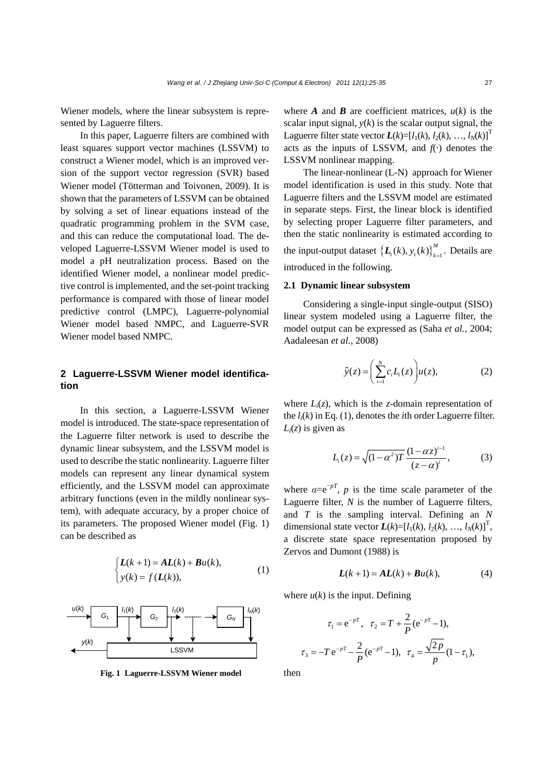Wiener models, where the linear subsystem is represented by Laguerre filters.

In this paper, Laguerre filters are combined with least squares support vector machines (LSSVM) to construct a Wiener model, which is an improved version of the support vector regression (SVR) based Wiener model (Tötterman and Toivonen, 2009). It is shown that the parameters of LSSVM can be obtained by solving a set of linear equations instead of the quadratic programming problem in the SVM case, and this can reduce the computational load. The developed Laguerre-LSSVM Wiener model is used to model a pH neutralization process. Based on the identified Wiener model, a nonlinear model predictive control is implemented, and the set-point tracking performance is compared with those of linear model predictive control (LMPC), Laguerre-polynomial Wiener model based NMPC, and Laguerre-SVR Wiener model based NMPC.

## **2 Laguerre-LSSVM Wiener model identification**

In this section, a Laguerre-LSSVM Wiener model is introduced. The state-space representation of the Laguerre filter network is used to describe the dynamic linear subsystem, and the LSSVM model is used to describe the static nonlinearity. Laguerre filter models can represent any linear dynamical system efficiently, and the LSSVM model can approximate arbitrary functions (even in the mildly nonlinear system), with adequate accuracy, by a proper choice of its parameters. The proposed Wiener model (Fig. 1) can be described as

$$
\begin{cases}\nL(k+1) = AL(k) + Bu(k), \\
y(k) = f(L(k)),\n\end{cases} (1)
$$



**Fig. 1 Laguerre-LSSVM Wiener model** then

where *A* and *B* are coefficient matrices,  $u(k)$  is the scalar input signal,  $y(k)$  is the scalar output signal, the Laguerre filter state vector  $L(k)=[l_1(k), l_2(k), ..., l_N(k)]$ <sup>T</sup> acts as the inputs of LSSVM, and  $f(\cdot)$  denotes the LSSVM nonlinear mapping.

The linear-nonlinear (L-N) approach for Wiener model identification is used in this study. Note that Laguerre filters and the LSSVM model are estimated in separate steps. First, the linear block is identified by selecting proper Laguerre filter parameters, and then the static nonlinearity is estimated according to the input-output dataset  $\left\{ \mathbf{L}_{t}(k), y_{t}(k) \right\}_{k=1}^{M}$ . Details are introduced in the following.

#### **2.1 Dynamic linear subsystem**

Considering a single-input single-output (SISO) linear system modeled using a Laguerre filter, the model output can be expressed as (Saha *et al.*, 2004; Aadaleesan *et al.*, 2008)

$$
\hat{y}(z) = \left(\sum_{i=1}^{N} c_i L_i(z)\right) u(z),\tag{2}
$$

where  $L_i(z)$ , which is the *z*-domain representation of the  $l_i(k)$  in Eq. (1), denotes the *i*th order Laguerre filter.  $L_i(z)$  is given as

$$
L_i(z) = \sqrt{(1 - \alpha^2)T} \frac{(1 - \alpha z)^{i-1}}{(z - \alpha)^i},
$$
 (3)

where  $\alpha = e^{-pT}$ , *p* is the time scale parameter of the Laguerre filter, *N* is the number of Laguerre filters, and *T* is the sampling interval. Defining an *N*  dimensional state vector  $L(k)=[l_1(k), l_2(k), ..., l_N(k)]^T$ , a discrete state space representation proposed by Zervos and Dumont (1988) is

$$
L(k+1) = AL(k) + Bu(k),
$$
 (4)

where  $u(k)$  is the input. Defining

$$
\tau_1 = e^{-pT}, \quad \tau_2 = T + \frac{2}{P}(e^{-pT} - 1),
$$

$$
\tau_3 = -T e^{-pT} - \frac{2}{P}(e^{-pT} - 1), \quad \tau_4 = \frac{\sqrt{2p}}{p}(1 - \tau_1),
$$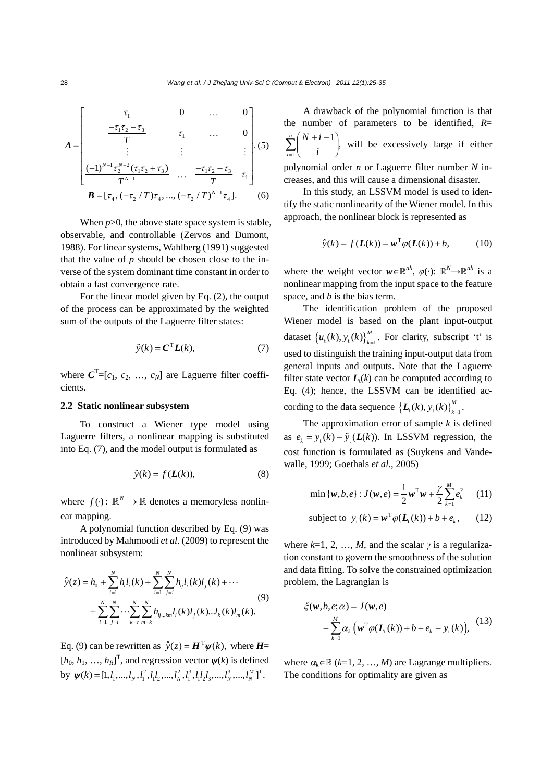$$
A = \begin{bmatrix} \tau_1 & 0 & \dots & 0 \\ \frac{-\tau_1 \tau_2 - \tau_3}{T} & \tau_1 & \dots & 0 \\ \vdots & \vdots & \vdots & \vdots \\ \frac{(-1)^{N-1} \tau_2^{N-2} (\tau_1 \tau_2 + \tau_3)}{T^{N-1}} & \dots & \frac{-\tau_1 \tau_2 - \tau_3}{T} & \tau_1 \end{bmatrix} . (5)
$$
  

$$
B = [\tau_4, (-\tau_2 / T) \tau_4, ..., (-\tau_2 / T)^{N-1} \tau_4].
$$

When  $p > 0$ , the above state space system is stable, observable, and controllable (Zervos and Dumont, 1988). For linear systems, Wahlberg (1991) suggested that the value of  $p$  should be chosen close to the inverse of the system dominant time constant in order to obtain a fast convergence rate.

For the linear model given by Eq. (2), the output of the process can be approximated by the weighted sum of the outputs of the Laguerre filter states:

$$
\hat{y}(k) = \mathbf{C}^{\mathrm{T}} \mathbf{L}(k),\tag{7}
$$

where  $C^T = [c_1, c_2, ..., c_N]$  are Laguerre filter coefficients.

#### **2.2 Static nonlinear subsystem**

To construct a Wiener type model using Laguerre filters, a nonlinear mapping is substituted into Eq. (7), and the model output is formulated as

$$
\hat{y}(k) = f(L(k)),\tag{8}
$$

where  $f(\cdot)$ :  $\mathbb{R}^N \to \mathbb{R}$  denotes a memoryless nonlinear mapping.

A polynomial function described by Eq. (9) was introduced by Mahmoodi *et al*. (2009) to represent the nonlinear subsystem:

$$
\hat{y}(z) = h_0 + \sum_{i=1}^{N} h_i l_i(k) + \sum_{i=1}^{N} \sum_{j=i}^{N} h_{ij} l_i(k) l_j(k) + \cdots
$$
\n
$$
+ \sum_{i=1}^{N} \sum_{j=i}^{N} \cdots \sum_{k=r}^{N} \sum_{m=k}^{N} h_{ij\ldots km} l_i(k) l_j(k) \ldots l_k(k) l_m(k).
$$
\n(9)

Eq. (9) can be rewritten as  $\hat{v}(z) = H^{\mathrm{T}} w(k)$ , where *H*=  $[h_0, h_1, ..., h_R]^T$ , and regression vector  $\psi(k)$  is defined by  $\psi(k) = [1, l_1, ..., l_N, l_1^2, l_1l_2, ..., l_N^2, l_1^3, l_1l_2l_3, ..., l_N^3, ..., l_N^M]^T$ .

A drawback of the polynomial function is that the number of parameters to be identified, *R*= 1  $\sum_{i=1}^{n} {N+i-1}$ *i*  $N + i$  $\sum_{i=1}^{n} {N+i-1 \choose i}$ , will be excessively large if either polynomial order *n* or Laguerre filter number *N* increases, and this will cause a dimensional disaster.

In this study, an LSSVM model is used to identify the static nonlinearity of the Wiener model. In this approach, the nonlinear block is represented as

$$
\hat{y}(k) = f(L(k)) = \mathbf{w}^{\mathrm{T}} \varphi(L(k)) + b, \quad (10)
$$

where the weight vector  $w \in \mathbb{R}^{nh}$ ,  $\varphi(\cdot)$ :  $\mathbb{R}^{N} \rightarrow \mathbb{R}^{nh}$  is a nonlinear mapping from the input space to the feature space, and *b* is the bias term.

The identification problem of the proposed Wiener model is based on the plant input-output dataset  $\{u_t(k), y_t(k)\}_{k=1}^M$ . For clarity, subscript 't' is used to distinguish the training input-output data from general inputs and outputs. Note that the Laguerre filter state vector  $L_t(k)$  can be computed according to Eq. (4); hence, the LSSVM can be identified according to the data sequence  $\left\{ \mathbf{L}_{t}(k), y_{t}(k) \right\}_{k=1}^{M}$ .

The approximation error of sample *k* is defined as  $e_k = y_t (k) - \hat{y}_t (L(k))$ . In LSSVM regression, the cost function is formulated as (Suykens and Vandewalle, 1999; Goethals *et al.*, 2005)

$$
\min \{ w, b, e \} : J(w, e) = \frac{1}{2} w^{\mathrm{T}} w + \frac{\gamma}{2} \sum_{k=1}^{M} e_k^2 \qquad (11)
$$

subject to 
$$
y_t(k) = \boldsymbol{w}^T \varphi(\boldsymbol{L}_t(k)) + b + e_k,
$$
 (12)

where  $k=1, 2, ..., M$ , and the scalar  $\gamma$  is a regularization constant to govern the smoothness of the solution and data fitting. To solve the constrained optimization problem, the Lagrangian is

$$
\xi(\mathbf{w}, b, e; \alpha) = J(\mathbf{w}, e)
$$
  
-
$$
\sum_{k=1}^{M} \alpha_k (\mathbf{w}^T \varphi(\mathbf{L}_t(k)) + b + e_k - y_t(k)),
$$
 (13)

where  $\alpha_k \in \mathbb{R}$  ( $k=1, 2, ..., M$ ) are Lagrange multipliers. The conditions for optimality are given as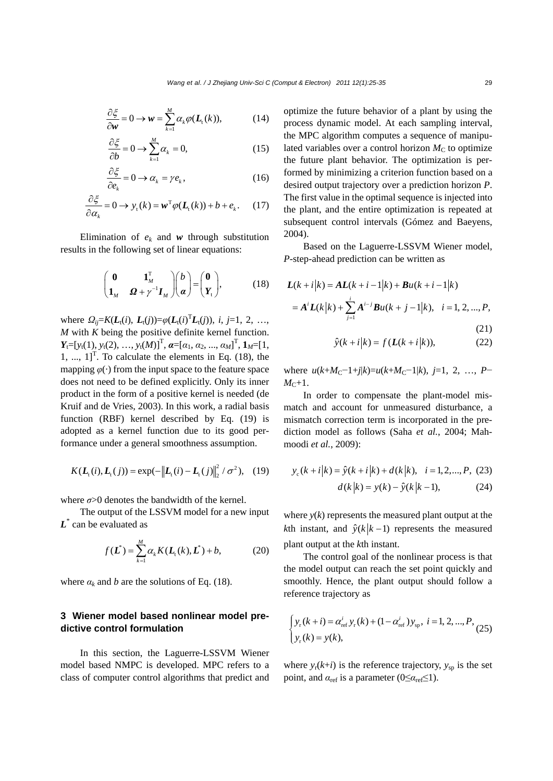$$
\frac{\partial \xi}{\partial w} = 0 \to w = \sum_{k=1}^{M} \alpha_k \varphi(L_{\mathfrak{t}}(k)), \tag{14}
$$

$$
\frac{\partial \xi}{\partial b} = 0 \longrightarrow \sum_{k=1}^{M} \alpha_k = 0, \tag{15}
$$

$$
\frac{\partial \xi}{\partial e_k} = 0 \to \alpha_k = \gamma e_k, \qquad (16)
$$

$$
\frac{\partial \xi}{\partial \alpha_k} = 0 \to y_t(k) = \boldsymbol{w}^{\mathrm{T}} \varphi(\boldsymbol{L}_t(k)) + b + e_k. \tag{17}
$$

Elimination of  $e_k$  and  $w$  through substitution results in the following set of linear equations:

$$
\begin{pmatrix} \mathbf{0} & \mathbf{1}_M^{\mathrm{T}} \\ \mathbf{1}_M & \mathbf{\Omega} + \gamma^{-1} \mathbf{I}_M \end{pmatrix} \begin{pmatrix} b \\ \mathbf{\alpha} \end{pmatrix} = \begin{pmatrix} \mathbf{0} \\ \mathbf{Y}_{\mathrm{t}} \end{pmatrix}, \tag{18}
$$

where  $\Omega_{ij} = K(L_1(i), L_1(j)) = \varphi(L_1(i)^T L_1(j)), i, j = 1, 2, ...,$ *M* with *K* being the positive definite kernel function.  $Y_t = [y_t(1), y_t(2), \ldots, y_t(M)]^T$ ,  $\boldsymbol{\alpha} = [\alpha_1, \alpha_2, \ldots, \alpha_M]^T$ ,  $\boldsymbol{1}_M = [1, \ldots, n]$ 1, ...,  $1$ <sup>T</sup>. To calculate the elements in Eq. (18), the mapping  $\varphi(\cdot)$  from the input space to the feature space does not need to be defined explicitly. Only its inner product in the form of a positive kernel is needed (de Kruif and de Vries, 2003). In this work, a radial basis function (RBF) kernel described by Eq. (19) is adopted as a kernel function due to its good performance under a general smoothness assumption.

$$
K(L_{\mathfrak{t}}(i), L_{\mathfrak{t}}(j)) = \exp(-\big\|L_{\mathfrak{t}}(i) - L_{\mathfrak{t}}(j)\big\|_{2}^{2} / \sigma^{2}), \quad (19)
$$

where  $\sigma$  > 0 denotes the bandwidth of the kernel.

The output of the LSSVM model for a new input *L*\* can be evaluated as

$$
f(\mathbf{L}^*) = \sum_{k=1}^{M} \alpha_k K(\mathbf{L}_t(k), \mathbf{L}^*) + b,\tag{20}
$$

where  $\alpha_k$  and *b* are the solutions of Eq. (18).

### **3 Wiener model based nonlinear model predictive control formulation**

In this section, the Laguerre-LSSVM Wiener model based NMPC is developed. MPC refers to a class of computer control algorithms that predict and optimize the future behavior of a plant by using the process dynamic model. At each sampling interval, the MPC algorithm computes a sequence of manipulated variables over a control horizon  $M<sub>C</sub>$  to optimize the future plant behavior. The optimization is performed by minimizing a criterion function based on a desired output trajectory over a prediction horizon *P*. The first value in the optimal sequence is injected into the plant, and the entire optimization is repeated at subsequent control intervals (Gómez and Baeyens, 2004).

Based on the Laguerre-LSSVM Wiener model, *P*-step-ahead prediction can be written as

$$
L(k+i|k) = AL(k+i-1|k) + Bu(k+i-1|k)
$$
  
=  $A^{i}L(k|k) + \sum_{j=1}^{i} A^{i-j}Bu(k+j-1|k), \quad i = 1, 2, ..., P,$  (21)

$$
\hat{y}(k+i|k) = f(L(k+i|k)),\tag{22}
$$

 $w$  here  $u(k+M_C-1+j|k)=u(k+M_C-1|k)$ , *j*=1, 2, …, *P*−  $M<sub>C</sub>+1$ .

In order to compensate the plant-model mismatch and account for unmeasured disturbance, a mismatch correction term is incorporated in the prediction model as follows (Saha *et al.*, 2004; Mahmoodi *et al.*, 2009):

$$
y_c(k+i|k) = \hat{y}(k+i|k) + d(k|k), \quad i = 1, 2, ..., P, (23)
$$

$$
d(k|k) = y(k) - \hat{y}(k|k-1), \quad (24)
$$

where  $y(k)$  represents the measured plant output at the *k*th instant, and  $\hat{y}(k|k-1)$  represents the measured plant output at the *k*th instant.

The control goal of the nonlinear process is that the model output can reach the set point quickly and smoothly. Hence, the plant output should follow a reference trajectory as

$$
\begin{cases} y_{r}(k+i) = \alpha_{\text{ref}}^{i} y_{r}(k) + (1 - \alpha_{\text{ref}}^{i}) y_{\text{sp}}, i = 1, 2, ..., P, \\ y_{r}(k) = y(k), \end{cases} (25)
$$

where  $y_r(k+i)$  is the reference trajectory,  $y_{sn}$  is the set point, and  $\alpha_{\text{ref}}$  is a parameter ( $0 \leq \alpha_{\text{ref}} \leq 1$ ).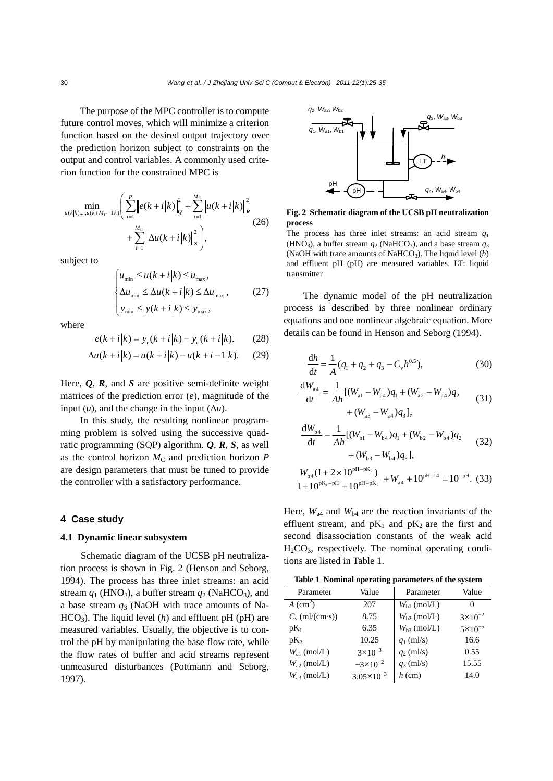The purpose of the MPC controller is to compute future control moves, which will minimize a criterion function based on the desired output trajectory over the prediction horizon subject to constraints on the output and control variables. A commonly used criterion function for the constrained MPC is

$$
\min_{u(k|k),...,u(k+M_{\text{C}}-1|k)} \left( \sum_{i=1}^{P} \left\| e(k+i|k) \right\|_{\mathcal{Q}}^{2} + \sum_{i=1}^{M_{\text{C}}} \left\| u(k+i|k) \right\|_{\mathcal{R}}^{2} + \sum_{i=1}^{M_{\text{C}}} \left\| \Delta u(k+i|k) \right\|_{S}^{2} \right), \tag{26}
$$

subject to

$$
\begin{cases} u_{\min} \le u(k+i|k) \le u_{\max}, \\ \Delta u_{\min} \le \Delta u(k+i|k) \le \Delta u_{\max}, \\ y_{\min} \le y(k+i|k) \le y_{\max}, \end{cases}
$$
 (27)

where

$$
e(k+i|k) = y_{r}(k+i|k) - y_{c}(k+i|k). \tag{28}
$$

$$
\Delta u(k + i|k) = u(k + i|k) - u(k + i - 1|k). \tag{29}
$$

Here,  $Q$ ,  $R$ , and  $S$  are positive semi-definite weight matrices of the prediction error (*e*), magnitude of the input  $(u)$ , and the change in the input  $(\Delta u)$ .

In this study, the resulting nonlinear programming problem is solved using the successive quadratic programming (SQP) algorithm. *Q*, *R*, *S*, as well as the control horizon  $M<sub>C</sub>$  and prediction horizon *P* are design parameters that must be tuned to provide the controller with a satisfactory performance.

#### **4 Case study**

#### **4.1 Dynamic linear subsystem**

Schematic diagram of the UCSB pH neutralization process is shown in Fig. 2 (Henson and Seborg, 1994). The process has three inlet streams: an acid stream  $q_1$  (HNO<sub>3</sub>), a buffer stream  $q_2$  (NaHCO<sub>3</sub>), and a base stream *q*3 (NaOH with trace amounts of Na- $HCO<sub>3</sub>$ ). The liquid level (*h*) and effluent pH (pH) are measured variables. Usually, the objective is to control the pH by manipulating the base flow rate, while the flow rates of buffer and acid streams represent unmeasured disturbances (Pottmann and Seborg, 1997).



**Fig. 2 Schematic diagram of the UCSB pH neutralization process** 

The process has three inlet streams: an acid stream *q*<sup>1</sup> (HNO<sub>3</sub>), a buffer stream  $q_2$  (NaHCO<sub>3</sub>), and a base stream  $q_3$ (NaOH with trace amounts of NaHCO<sub>3</sub>). The liquid level (h) and effluent pH (pH) are measured variables. LT: liquid transmitter

The dynamic model of the pH neutralization process is described by three nonlinear ordinary equations and one nonlinear algebraic equation. More details can be found in Henson and Seborg (1994).

$$
\frac{dh}{dt} = \frac{1}{A}(q_1 + q_2 + q_3 - C_v h^{0.5}),
$$
\n(30)

$$
\frac{dW_{a4}}{dt} = \frac{1}{Ah} [(W_{a1} - W_{a4})q_1 + (W_{a2} - W_{a4})q_2 + (W_{a3} - W_{a4})q_3],
$$
\n(31)

$$
\frac{dW_{b4}}{dt} = \frac{1}{Ah} [(W_{b1} - W_{b4})q_1 + (W_{b2} - W_{b4})q_2 + (W_{b3} - W_{b4})q_3],
$$
\n(32)

$$
\frac{W_{b4}(1+2\times10^{pH-pK_2})}{1+10^{pK_1-pH}+10^{pH-pK_2}}+W_{a4}+10^{pH-14}=10^{-pH}.
$$
 (33)

Here,  $W_{\text{a}4}$  and  $W_{\text{b}4}$  are the reaction invariants of the effluent stream, and  $pK_1$  and  $pK_2$  are the first and second disassociation constants of the weak acid  $H<sub>2</sub>CO<sub>3</sub>$ , respectively. The nominal operating conditions are listed in Table 1.

**Table 1 Nominal operating parameters of the system**

| Parameter           | Value               | Parameter        | Value              |
|---------------------|---------------------|------------------|--------------------|
| $A \text{ (cm}^2)$  | 207                 | $W_{h1}$ (mol/L) | 0                  |
| $C_{v}$ (ml/(cm·s)) | 8.75                | $W_{h2}$ (mol/L) | $3 \times 10^{-2}$ |
| $pK_1$              | 6.35                | $W_{h3}$ (mol/L) | $5 \times 10^{-5}$ |
| $pK_2$              | 10.25               | $q_1$ (ml/s)     | 16.6               |
| $W_{a1}$ (mol/L)    | $3 \times 10^{-3}$  | $q_2$ (ml/s)     | 0.55               |
| $W_{32}$ (mol/L)    | $-3\times10^{-2}$   | $q_3$ (ml/s)     | 15.55              |
| $W_{33}$ (mol/L)    | $3.05\times10^{-3}$ | $h$ (cm)         | 14.0               |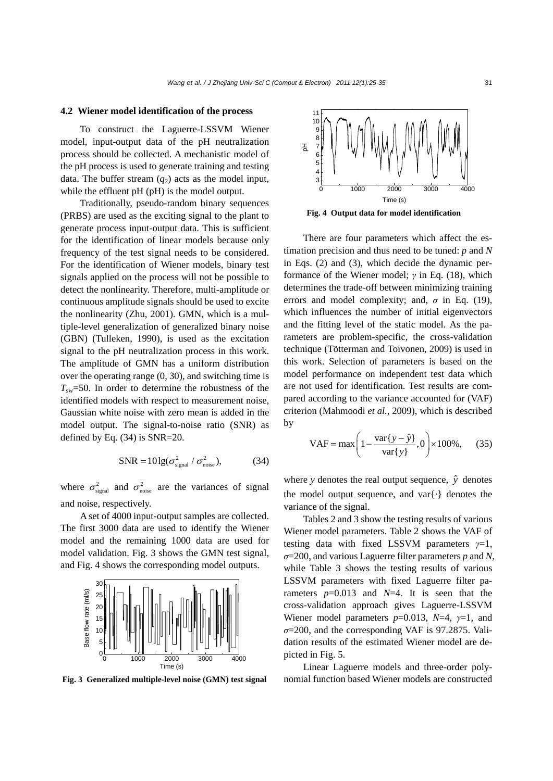#### **4.2 Wiener model identification of the process**

To construct the Laguerre-LSSVM Wiener model, input-output data of the pH neutralization process should be collected. A mechanistic model of the pH process is used to generate training and testing data. The buffer stream  $(q_2)$  acts as the model input, while the effluent pH (pH) is the model output.

Traditionally, pseudo-random binary sequences (PRBS) are used as the exciting signal to the plant to generate process input-output data. This is sufficient for the identification of linear models because only frequency of the test signal needs to be considered. For the identification of Wiener models, binary test signals applied on the process will not be possible to detect the nonlinearity. Therefore, multi-amplitude or continuous amplitude signals should be used to excite the nonlinearity (Zhu, 2001). GMN, which is a multiple-level generalization of generalized binary noise (GBN) (Tulleken, 1990), is used as the excitation signal to the pH neutralization process in this work. The amplitude of GMN has a uniform distribution over the operating range (0, 30), and switching time is  $T_{sw}=50$ . In order to determine the robustness of the identified models with respect to measurement noise, Gaussian white noise with zero mean is added in the model output. The signal-to-noise ratio (SNR) as defined by Eq. (34) is SNR=20.

$$
SNR = 10\lg(\sigma_{signal}^2 / \sigma_{noise}^2), \tag{34}
$$

where  $\sigma_{\text{signal}}^2$  and  $\sigma_{\text{noise}}^2$  are the variances of signal and noise, respectively.

A set of 4000 input-output samples are collected. The first 3000 data are used to identify the Wiener model and the remaining 1000 data are used for model validation. Fig. 3 shows the GMN test signal, and Fig. 4 shows the corresponding model outputs.





**Fig. 4 Output data for model identification** 

There are four parameters which affect the estimation precision and thus need to be tuned: *p* and *N* in Eqs. (2) and (3), which decide the dynamic performance of the Wiener model; *γ* in Eq. (18), which determines the trade-off between minimizing training errors and model complexity; and,  $\sigma$  in Eq. (19), which influences the number of initial eigenvectors and the fitting level of the static model. As the parameters are problem-specific, the cross-validation technique (Tötterman and Toivonen, 2009) is used in this work. Selection of parameters is based on the model performance on independent test data which are not used for identification. Test results are compared according to the variance accounted for (VAF) criterion (Mahmoodi *et al.*, 2009), which is described by

$$
VAF = \max\left(1 - \frac{\text{var}\{y - \hat{y}\}}{\text{var}\{y\}}, 0\right) \times 100\%,\qquad(35)
$$

where *y* denotes the real output sequence,  $\hat{y}$  denotes the model output sequence, and var{·} denotes the variance of the signal.

Tables 2 and 3 show the testing results of various Wiener model parameters. Table 2 shows the VAF of testing data with fixed LSSVM parameters *γ*=1, *σ*=200, and various Laguerre filter parameters *p* and *N*, while Table 3 shows the testing results of various LSSVM parameters with fixed Laguerre filter parameters  $p=0.013$  and  $N=4$ . It is seen that the cross-validation approach gives Laguerre-LSSVM Wiener model parameters *p*=0.013, *N*=4, *γ*=1, and  $\sigma$ =200, and the corresponding VAF is 97.2875. Validation results of the estimated Wiener model are depicted in Fig. 5.

Linear Laguerre models and three-order poly-**Fig. 3 Generalized multiple-level noise (GMN) test signal** nomial function based Wiener models are constructed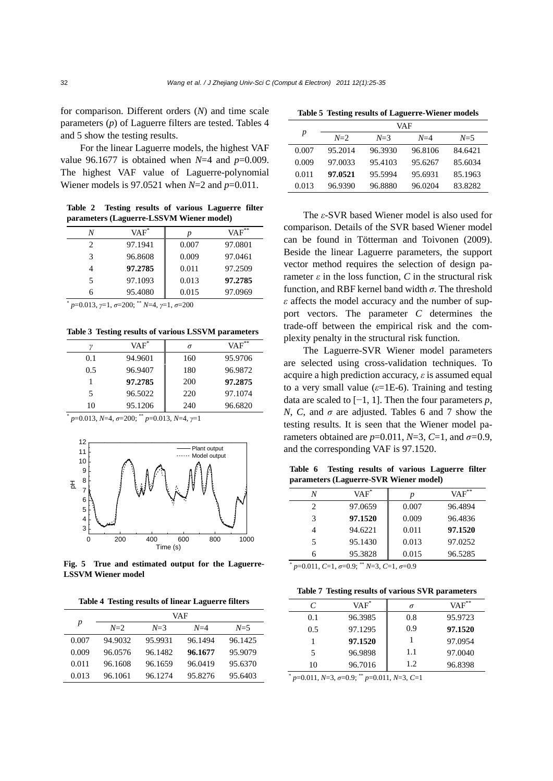for comparison. Different orders (*N*) and time scale parameters (*p*) of Laguerre filters are tested. Tables 4 and 5 show the testing results.

For the linear Laguerre models, the highest VAF value 96.1677 is obtained when *N*=4 and *p*=0.009. The highest VAF value of Laguerre-polynomial Wiener models is 97.0521 when *N*=2 and *p*=0.011.

**Table 2 Testing results of various Laguerre filter parameters (Laguerre-LSSVM Wiener model)**

| N | $VAF^*$ | p     | $VAF**$ |
|---|---------|-------|---------|
| 2 | 97.1941 | 0.007 | 97.0801 |
| 3 | 96.8608 | 0.009 | 97.0461 |
|   | 97.2785 | 0.011 | 97.2509 |
| 5 | 97.1093 | 0.013 | 97.2785 |
|   | 95.4080 | 0.015 | 97.0969 |

\*  *p*=0.013, *γ*=1, *σ*=200; \*\* *N*=4, *γ*=1, *σ*=200

**Table 3 Testing results of various LSSVM parameters**

|     | $VAF^*$ | σ   | $VAF$ <sup>**</sup> |
|-----|---------|-----|---------------------|
| 0.1 | 94.9601 | 160 | 95.9706             |
| 0.5 | 96.9407 | 180 | 96.9872             |
|     | 97.2785 | 200 | 97.2875             |
| 5   | 96.5022 | 220 | 97.1074             |
| 10  | 95.1206 | 240 | 96.6820             |

\*  *p*=0.013, *N*=4, *σ*=200; \*\* *p*=0.013, *N*=4, *γ*=1



**Fig. 5 True and estimated output for the Laguerre-LSSVM Wiener model** 

**Table 4 Testing results of linear Laguerre filters**

|       | VAF     |          |         |         |
|-------|---------|----------|---------|---------|
| p     | $N=2$   | $N=3$    | $N=4$   | $N=5$   |
| 0.007 | 94.9032 | 95.9931  | 96.1494 | 96.1425 |
| 0.009 | 96.0576 | 96.1482  | 96.1677 | 95.9079 |
| 0.011 | 96.1608 | 96.1659  | 96.0419 | 95.6370 |
| 0.013 | 96.1061 | 96.12.74 | 95.8276 | 95.6403 |

**Table 5 Testing results of Laguerre-Wiener models**

|       | VAF     |         |         |         |
|-------|---------|---------|---------|---------|
| р     | $N=2$   | $N=3$   | $N=4$   | $N=5$   |
| 0.007 | 95.2014 | 96.3930 | 96.8106 | 84.6421 |
| 0.009 | 97.0033 | 95.4103 | 95.6267 | 85.6034 |
| 0.011 | 97.0521 | 95.5994 | 95.6931 | 85.1963 |
| 0.013 | 96.9390 | 96.8880 | 96.0204 | 83.8282 |

The *ε*-SVR based Wiener model is also used for comparison. Details of the SVR based Wiener model can be found in Tötterman and Toivonen (2009). Beside the linear Laguerre parameters, the support vector method requires the selection of design parameter *ε* in the loss function, *C* in the structural risk function, and RBF kernel band width *σ*. The threshold *ε* affects the model accuracy and the number of support vectors. The parameter *C* determines the trade-off between the empirical risk and the complexity penalty in the structural risk function.

The Laguerre-SVR Wiener model parameters are selected using cross-validation techniques. To acquire a high prediction accuracy, *ε* is assumed equal to a very small value  $(\varepsilon=1E-6)$ . Training and testing data are scaled to [−1, 1]. Then the four parameters *p*, *N*, *C*, and  $\sigma$  are adjusted. Tables 6 and 7 show the testing results. It is seen that the Wiener model parameters obtained are  $p=0.011$ ,  $N=3$ ,  $C=1$ , and  $\sigma=0.9$ , and the corresponding VAF is 97.1520.

**Table 6 Testing results of various Laguerre filter parameters (Laguerre-SVR Wiener model)**

| N                           | $VAF^*$ |       | $VAF$ ** |
|-----------------------------|---------|-------|----------|
| $\mathcal{D}_{\mathcal{A}}$ | 97.0659 | 0.007 | 96.4894  |
| 3                           | 97.1520 | 0.009 | 96.4836  |
|                             | 94.6221 | 0.011 | 97.1520  |
| 5                           | 95.1430 | 0.013 | 97.0252  |
| 6                           | 95.3828 | 0.015 | 96.5285  |

\*  *p*=0.011, *C*=1, *σ*=0.9; \*\* *N*=3, *C*=1, *σ*=0.9

**Table 7 Testing results of various SVR parameters**

| C   | $VAF^*$ |      | $VAF^*$ |
|-----|---------|------|---------|
| 0.1 | 96.3985 | 0.8  | 95.9723 |
| 0.5 | 97.1295 | 0.9  | 97.1520 |
|     | 97.1520 |      | 97.0954 |
| 5   | 96.9898 | 1.1  | 97.0040 |
| 10  | 96.7016 | 1.2. | 96.8398 |

\*  *p*=0.011, *N*=3, *σ*=0.9; \*\* *p*=0.011, *N*=3, *C*=1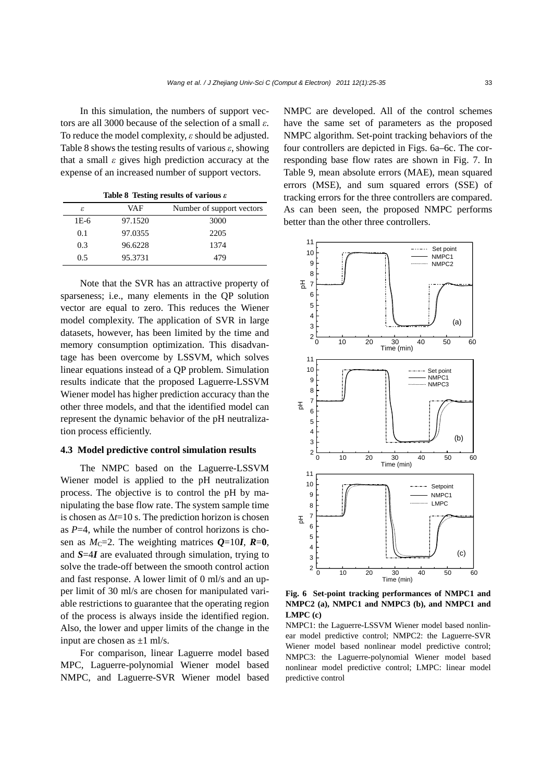In this simulation, the numbers of support vectors are all 3000 because of the selection of a small *ε*. To reduce the model complexity, *ε* should be adjusted. Table 8 shows the testing results of various *ε*, showing that a small *ε* gives high prediction accuracy at the expense of an increased number of support vectors.

**Table 8 Testing results of various** *ε*

|        | . .     |                           |
|--------|---------|---------------------------|
| ε      | VAF     | Number of support vectors |
| $1E-6$ | 97.1520 | 3000                      |
| 0.1    | 97.0355 | 2205                      |
| 0.3    | 96.6228 | 1374                      |
| 0.5    | 95.3731 | 479                       |

Note that the SVR has an attractive property of sparseness; i.e., many elements in the QP solution vector are equal to zero. This reduces the Wiener model complexity. The application of SVR in large datasets, however, has been limited by the time and memory consumption optimization. This disadvantage has been overcome by LSSVM, which solves linear equations instead of a QP problem. Simulation results indicate that the proposed Laguerre-LSSVM Wiener model has higher prediction accuracy than the other three models, and that the identified model can represent the dynamic behavior of the pH neutralization process efficiently.

#### **4.3 Model predictive control simulation results**

The NMPC based on the Laguerre-LSSVM Wiener model is applied to the pH neutralization process. The objective is to control the pH by manipulating the base flow rate. The system sample time is chosen as  $\Delta t = 10$  s. The prediction horizon is chosen as *P*=4, while the number of control horizons is chosen as  $M_C$ =2. The weighting matrices  $Q=10I$ ,  $R=0$ , and *S*=4*I* are evaluated through simulation, trying to solve the trade-off between the smooth control action and fast response. A lower limit of 0 ml/s and an upper limit of 30 ml/s are chosen for manipulated variable restrictions to guarantee that the operating region of the process is always inside the identified region. Also, the lower and upper limits of the change in the input are chosen as  $\pm 1$  ml/s.

For comparison, linear Laguerre model based MPC, Laguerre-polynomial Wiener model based NMPC, and Laguerre-SVR Wiener model based NMPC are developed. All of the control schemes have the same set of parameters as the proposed NMPC algorithm. Set-point tracking behaviors of the four controllers are depicted in Figs. 6a–6c. The corresponding base flow rates are shown in Fig. 7. In Table 9, mean absolute errors (MAE), mean squared errors (MSE), and sum squared errors (SSE) of tracking errors for the three controllers are compared. As can been seen, the proposed NMPC performs better than the other three controllers.



**Fig. 6 Set-point tracking performances of NMPC1 and NMPC2 (a), NMPC1 and NMPC3 (b), and NMPC1 and LMPC (c)** 

NMPC1: the Laguerre-LSSVM Wiener model based nonlinear model predictive control; NMPC2: the Laguerre-SVR Wiener model based nonlinear model predictive control; NMPC3: the Laguerre-polynomial Wiener model based nonlinear model predictive control; LMPC: linear model predictive control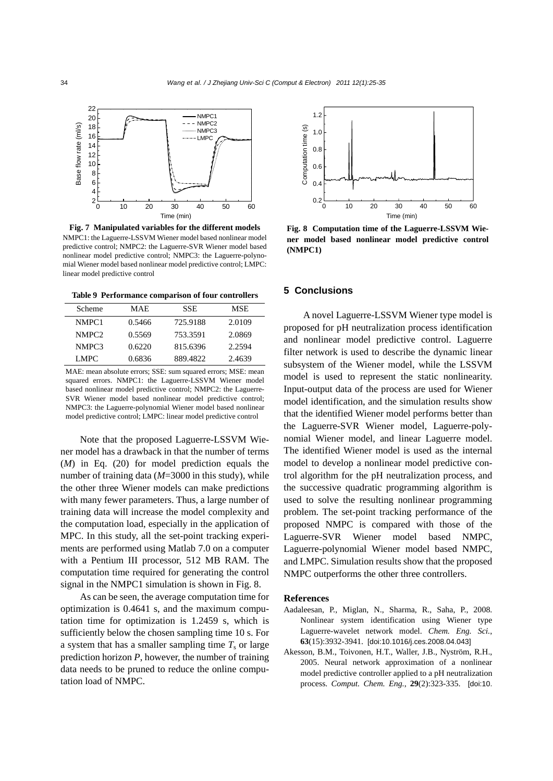

**Fig. 7 Manipulated variables for the different models**  NMPC1: the Laguerre-LSSVM Wiener model based nonlinear model predictive control; NMPC2: the Laguerre-SVR Wiener model based nonlinear model predictive control; NMPC3: the Laguerre-polynomial Wiener model based nonlinear model predictive control; LMPC: linear model predictive control

**Table 9 Performance comparison of four controllers**

| Scheme | <b>MAE</b> | <b>SSE</b> | <b>MSE</b> |
|--------|------------|------------|------------|
| NMPC1  | 0.5466     | 725.9188   | 2.0109     |
| NMPC2  | 0.5569     | 753.3591   | 2.0869     |
| NMPC3  | 0.6220     | 815.6396   | 2.2594     |
| LMPC.  | 0.6836     | 889.4822   | 2.4639     |

MAE: mean absolute errors; SSE: sum squared errors; MSE: mean squared errors. NMPC1: the Laguerre-LSSVM Wiener model based nonlinear model predictive control; NMPC2: the Laguerre-SVR Wiener model based nonlinear model predictive control; NMPC3: the Laguerre-polynomial Wiener model based nonlinear model predictive control; LMPC: linear model predictive control

Note that the proposed Laguerre-LSSVM Wiener model has a drawback in that the number of terms (*M*) in Eq. (20) for model prediction equals the number of training data (*M*=3000 in this study), while the other three Wiener models can make predictions with many fewer parameters. Thus, a large number of training data will increase the model complexity and the computation load, especially in the application of MPC. In this study, all the set-point tracking experiments are performed using Matlab 7.0 on a computer with a Pentium III processor, 512 MB RAM. The computation time required for generating the control signal in the NMPC1 simulation is shown in Fig. 8.

As can be seen, the average computation time for optimization is 0.4641 s, and the maximum computation time for optimization is 1.2459 s, which is sufficiently below the chosen sampling time 10 s. For a system that has a smaller sampling time  $T_s$  or large prediction horizon *P*, however, the number of training data needs to be pruned to reduce the online computation load of NMPC.



**Fig. 8 Computation time of the Laguerre-LSSVM Wiener model based nonlinear model predictive control (NMPC1)** 

#### **5 Conclusions**

A novel Laguerre-LSSVM Wiener type model is proposed for pH neutralization process identification and nonlinear model predictive control. Laguerre filter network is used to describe the dynamic linear subsystem of the Wiener model, while the LSSVM model is used to represent the static nonlinearity. Input-output data of the process are used for Wiener model identification, and the simulation results show that the identified Wiener model performs better than the Laguerre-SVR Wiener model, Laguerre-polynomial Wiener model, and linear Laguerre model. The identified Wiener model is used as the internal model to develop a nonlinear model predictive control algorithm for the pH neutralization process, and the successive quadratic programming algorithm is used to solve the resulting nonlinear programming problem. The set-point tracking performance of the proposed NMPC is compared with those of the Laguerre-SVR Wiener model based NMPC, Laguerre-polynomial Wiener model based NMPC, and LMPC. Simulation results show that the proposed NMPC outperforms the other three controllers.

#### **References**

- Aadaleesan, P., Miglan, N., Sharma, R., Saha, P., 2008. Nonlinear system identification using Wiener type Laguerre-wavelet network model. *Chem. Eng. Sci.*, **63**(15):3932-3941. [doi:10.1016/j.ces.2008.04.043]
- Akesson, B.M., Toivonen, H.T., Waller, J.B., Nyström, R.H., 2005. Neural network approximation of a nonlinear model predictive controller applied to a pH neutralization process. *Comput. Chem. Eng.*, **29**(2):323-335. [doi:10.